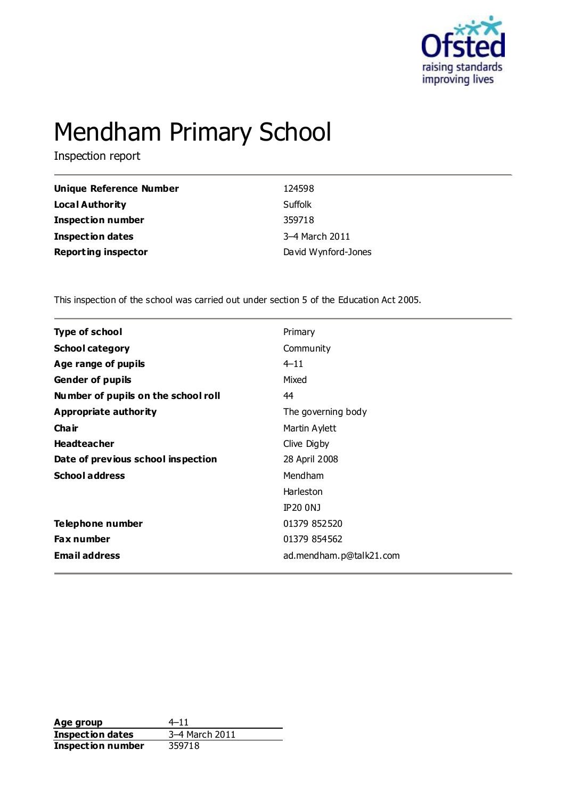

# Mendham Primary School

Inspection report

| <b>Unique Reference Number</b> | 124598              |
|--------------------------------|---------------------|
| <b>Local Authority</b>         | Suffolk             |
| <b>Inspection number</b>       | 359718              |
| <b>Inspection dates</b>        | 3-4 March 2011      |
| <b>Reporting inspector</b>     | David Wynford-Jones |

This inspection of the school was carried out under section 5 of the Education Act 2005.

| <b>Type of school</b>               | Primary                 |  |
|-------------------------------------|-------------------------|--|
| <b>School category</b>              | Community               |  |
| Age range of pupils                 | $4 - 11$                |  |
| <b>Gender of pupils</b>             | Mixed                   |  |
| Number of pupils on the school roll | 44                      |  |
| <b>Appropriate authority</b>        | The governing body      |  |
| Cha ir                              | Martin Aylett           |  |
| <b>Headteacher</b>                  | Clive Digby             |  |
| Date of previous school inspection  | 28 April 2008           |  |
| <b>School address</b>               | Mendham                 |  |
|                                     | Harleston               |  |
|                                     | <b>IP20 ONJ</b>         |  |
| Telephone number                    | 01379 852520            |  |
| <b>Fax number</b>                   | 01379 854562            |  |
| <b>Email address</b>                | ad.mendham.p@talk21.com |  |
|                                     |                         |  |

**Age group** 4–11<br> **Inspection dates** 3–4 March 2011 **Inspection dates** 3–4 Mar<br>**Inspection number** 359718 **Inspection number**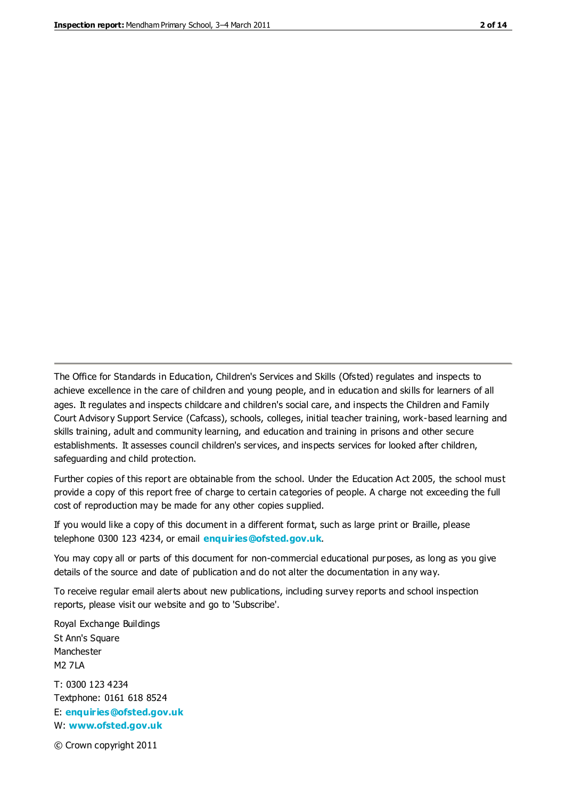The Office for Standards in Education, Children's Services and Skills (Ofsted) regulates and inspects to achieve excellence in the care of children and young people, and in education and skills for learners of all ages. It regulates and inspects childcare and children's social care, and inspects the Children and Family Court Advisory Support Service (Cafcass), schools, colleges, initial teacher training, work-based learning and skills training, adult and community learning, and education and training in prisons and other secure establishments. It assesses council children's services, and inspects services for looked after children, safeguarding and child protection.

Further copies of this report are obtainable from the school. Under the Education Act 2005, the school must provide a copy of this report free of charge to certain categories of people. A charge not exceeding the full cost of reproduction may be made for any other copies supplied.

If you would like a copy of this document in a different format, such as large print or Braille, please telephone 0300 123 4234, or email **[enquiries@ofsted.gov.uk](mailto:enquiries@ofsted.gov.uk)**.

You may copy all or parts of this document for non-commercial educational purposes, as long as you give details of the source and date of publication and do not alter the documentation in any way.

To receive regular email alerts about new publications, including survey reports and school inspection reports, please visit our website and go to 'Subscribe'.

Royal Exchange Buildings St Ann's Square Manchester M2 7LA T: 0300 123 4234 Textphone: 0161 618 8524 E: **[enquiries@ofsted.gov.uk](mailto:enquiries@ofsted.gov.uk)**

W: **[www.ofsted.gov.uk](http://www.ofsted.gov.uk/)**

© Crown copyright 2011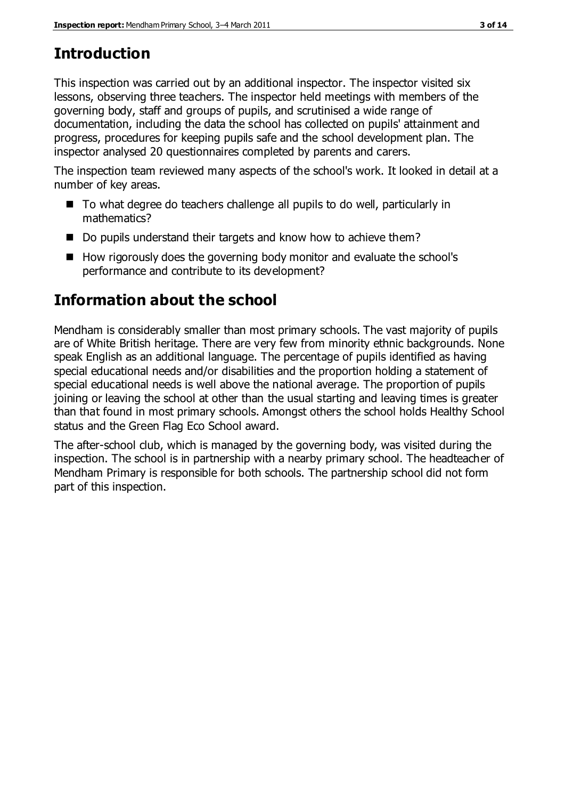# **Introduction**

This inspection was carried out by an additional inspector. The inspector visited six lessons, observing three teachers. The inspector held meetings with members of the governing body, staff and groups of pupils, and scrutinised a wide range of documentation, including the data the school has collected on pupils' attainment and progress, procedures for keeping pupils safe and the school development plan. The inspector analysed 20 questionnaires completed by parents and carers.

The inspection team reviewed many aspects of the school's work. It looked in detail at a number of key areas.

- To what degree do teachers challenge all pupils to do well, particularly in mathematics?
- Do pupils understand their targets and know how to achieve them?
- $\blacksquare$  How rigorously does the governing body monitor and evaluate the school's performance and contribute to its development?

# **Information about the school**

Mendham is considerably smaller than most primary schools. The vast majority of pupils are of White British heritage. There are very few from minority ethnic backgrounds. None speak English as an additional language. The percentage of pupils identified as having special educational needs and/or disabilities and the proportion holding a statement of special educational needs is well above the national average. The proportion of pupils joining or leaving the school at other than the usual starting and leaving times is greater than that found in most primary schools. Amongst others the school holds Healthy School status and the Green Flag Eco School award.

The after-school club, which is managed by the governing body, was visited during the inspection. The school is in partnership with a nearby primary school. The headteacher of Mendham Primary is responsible for both schools. The partnership school did not form part of this inspection.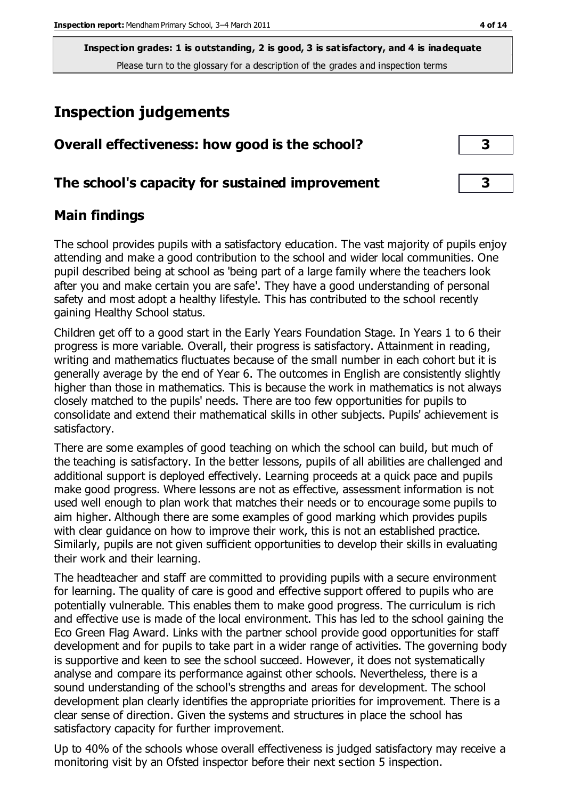**Inspection grades: 1 is outstanding, 2 is good, 3 is satisfactory, and 4 is inadequate** Please turn to the glossary for a description of the grades and inspection terms

# **Inspection judgements**

| Overall effectiveness: how good is the school?  |  |
|-------------------------------------------------|--|
| The school's capacity for sustained improvement |  |

#### **Main findings**

The school provides pupils with a satisfactory education. The vast majority of pupils enjoy attending and make a good contribution to the school and wider local communities. One pupil described being at school as 'being part of a large family where the teachers look after you and make certain you are safe'. They have a good understanding of personal safety and most adopt a healthy lifestyle. This has contributed to the school recently gaining Healthy School status.

Children get off to a good start in the Early Years Foundation Stage. In Years 1 to 6 their progress is more variable. Overall, their progress is satisfactory. Attainment in reading, writing and mathematics fluctuates because of the small number in each cohort but it is generally average by the end of Year 6. The outcomes in English are consistently slightly higher than those in mathematics. This is because the work in mathematics is not always closely matched to the pupils' needs. There are too few opportunities for pupils to consolidate and extend their mathematical skills in other subjects. Pupils' achievement is satisfactory.

There are some examples of good teaching on which the school can build, but much of the teaching is satisfactory. In the better lessons, pupils of all abilities are challenged and additional support is deployed effectively. Learning proceeds at a quick pace and pupils make good progress. Where lessons are not as effective, assessment information is not used well enough to plan work that matches their needs or to encourage some pupils to aim higher. Although there are some examples of good marking which provides pupils with clear guidance on how to improve their work, this is not an established practice. Similarly, pupils are not given sufficient opportunities to develop their skills in evaluating their work and their learning.

The headteacher and staff are committed to providing pupils with a secure environment for learning. The quality of care is good and effective support offered to pupils who are potentially vulnerable. This enables them to make good progress. The curriculum is rich and effective use is made of the local environment. This has led to the school gaining the Eco Green Flag Award. Links with the partner school provide good opportunities for staff development and for pupils to take part in a wider range of activities. The governing body is supportive and keen to see the school succeed. However, it does not systematically analyse and compare its performance against other schools. Nevertheless, there is a sound understanding of the school's strengths and areas for development. The school development plan clearly identifies the appropriate priorities for improvement. There is a clear sense of direction. Given the systems and structures in place the school has satisfactory capacity for further improvement.

Up to 40% of the schools whose overall effectiveness is judged satisfactory may receive a monitoring visit by an Ofsted inspector before their next section 5 inspection.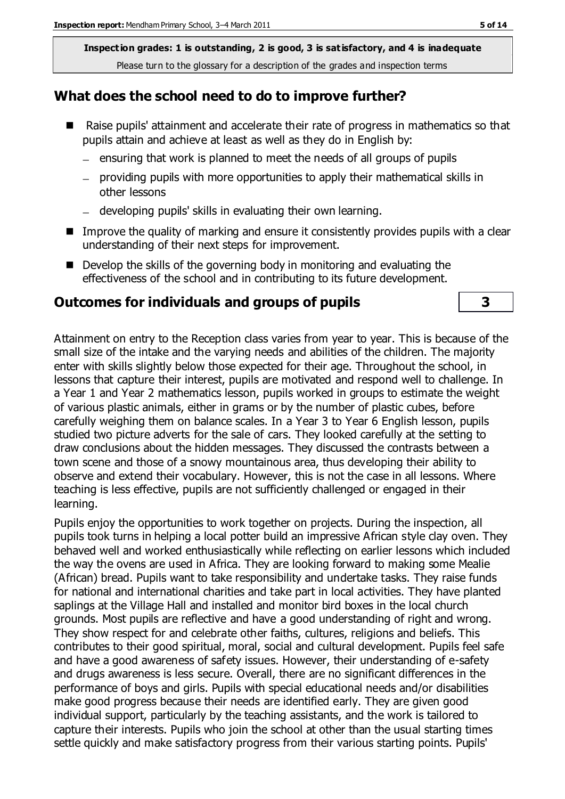**Inspection grades: 1 is outstanding, 2 is good, 3 is satisfactory, and 4 is inadequate** Please turn to the glossary for a description of the grades and inspection terms

#### **What does the school need to do to improve further?**

- Raise pupils' attainment and accelerate their rate of progress in mathematics so that pupils attain and achieve at least as well as they do in English by:
	- $-$  ensuring that work is planned to meet the needs of all groups of pupils
	- providing pupils with more opportunities to apply their mathematical skills in other lessons
	- developing pupils' skills in evaluating their own learning.
- $\blacksquare$  Improve the quality of marking and ensure it consistently provides pupils with a clear understanding of their next steps for improvement.
- Develop the skills of the governing body in monitoring and evaluating the effectiveness of the school and in contributing to its future development.

#### **Outcomes for individuals and groups of pupils 3**

Attainment on entry to the Reception class varies from year to year. This is because of the small size of the intake and the varying needs and abilities of the children. The majority enter with skills slightly below those expected for their age. Throughout the school, in lessons that capture their interest, pupils are motivated and respond well to challenge. In a Year 1 and Year 2 mathematics lesson, pupils worked in groups to estimate the weight of various plastic animals, either in grams or by the number of plastic cubes, before carefully weighing them on balance scales. In a Year 3 to Year 6 English lesson, pupils studied two picture adverts for the sale of cars. They looked carefully at the setting to draw conclusions about the hidden messages. They discussed the contrasts between a town scene and those of a snowy mountainous area, thus developing their ability to observe and extend their vocabulary. However, this is not the case in all lessons. Where teaching is less effective, pupils are not sufficiently challenged or engaged in their learning.

Pupils enjoy the opportunities to work together on projects. During the inspection, all pupils took turns in helping a local potter build an impressive African style clay oven. They behaved well and worked enthusiastically while reflecting on earlier lessons which included the way the ovens are used in Africa. They are looking forward to making some Mealie (African) bread. Pupils want to take responsibility and undertake tasks. They raise funds for national and international charities and take part in local activities. They have planted saplings at the Village Hall and installed and monitor bird boxes in the local church grounds. Most pupils are reflective and have a good understanding of right and wrong. They show respect for and celebrate other faiths, cultures, religions and beliefs. This contributes to their good spiritual, moral, social and cultural development. Pupils feel safe and have a good awareness of safety issues. However, their understanding of e-safety and drugs awareness is less secure. Overall, there are no significant differences in the performance of boys and girls. Pupils with special educational needs and/or disabilities make good progress because their needs are identified early. They are given good individual support, particularly by the teaching assistants, and the work is tailored to capture their interests. Pupils who join the school at other than the usual starting times settle quickly and make satisfactory progress from their various starting points. Pupils'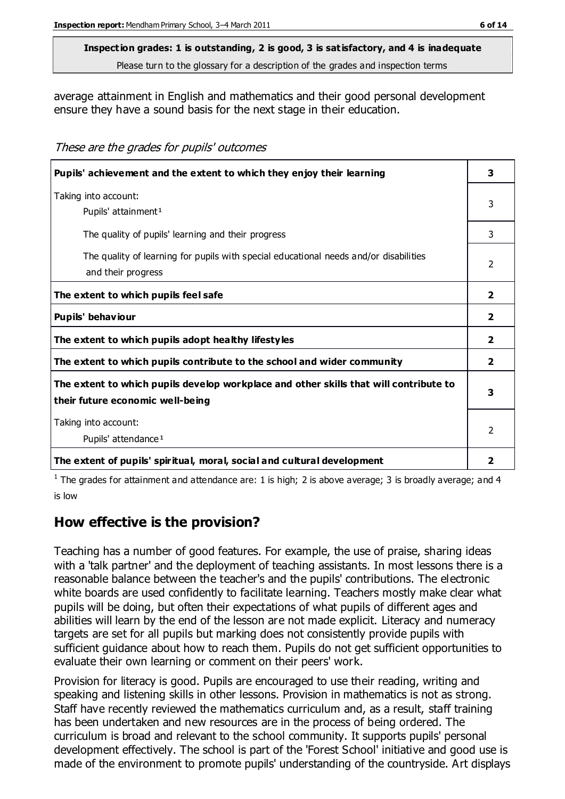# **Inspection grades: 1 is outstanding, 2 is good, 3 is satisfactory, and 4 is inadequate**

Please turn to the glossary for a description of the grades and inspection terms

average attainment in English and mathematics and their good personal development ensure they have a sound basis for the next stage in their education.

These are the grades for pupils' outcomes

| Pupils' achievement and the extent to which they enjoy their learning                                                     |                |
|---------------------------------------------------------------------------------------------------------------------------|----------------|
| Taking into account:<br>Pupils' attainment <sup>1</sup>                                                                   | 3              |
| The quality of pupils' learning and their progress                                                                        | 3              |
| The quality of learning for pupils with special educational needs and/or disabilities<br>and their progress               | $\mathcal{P}$  |
| The extent to which pupils feel safe                                                                                      | $\overline{2}$ |
| Pupils' behaviour                                                                                                         | $\overline{2}$ |
| The extent to which pupils adopt healthy lifestyles                                                                       | $\overline{2}$ |
| The extent to which pupils contribute to the school and wider community                                                   | $\overline{2}$ |
| The extent to which pupils develop workplace and other skills that will contribute to<br>their future economic well-being | 3              |
| Taking into account:<br>Pupils' attendance <sup>1</sup>                                                                   |                |
| The extent of pupils' spiritual, moral, social and cultural development                                                   | $\overline{2}$ |

<sup>1</sup> The grades for attainment and attendance are: 1 is high; 2 is above average; 3 is broadly average; and 4 is low

## **How effective is the provision?**

Teaching has a number of good features. For example, the use of praise, sharing ideas with a 'talk partner' and the deployment of teaching assistants. In most lessons there is a reasonable balance between the teacher's and the pupils' contributions. The electronic white boards are used confidently to facilitate learning. Teachers mostly make clear what pupils will be doing, but often their expectations of what pupils of different ages and abilities will learn by the end of the lesson are not made explicit. Literacy and numeracy targets are set for all pupils but marking does not consistently provide pupils with sufficient guidance about how to reach them. Pupils do not get sufficient opportunities to evaluate their own learning or comment on their peers' work.

Provision for literacy is good. Pupils are encouraged to use their reading, writing and speaking and listening skills in other lessons. Provision in mathematics is not as strong. Staff have recently reviewed the mathematics curriculum and, as a result, staff training has been undertaken and new resources are in the process of being ordered. The curriculum is broad and relevant to the school community. It supports pupils' personal development effectively. The school is part of the 'Forest School' initiative and good use is made of the environment to promote pupils' understanding of the countryside. Art displays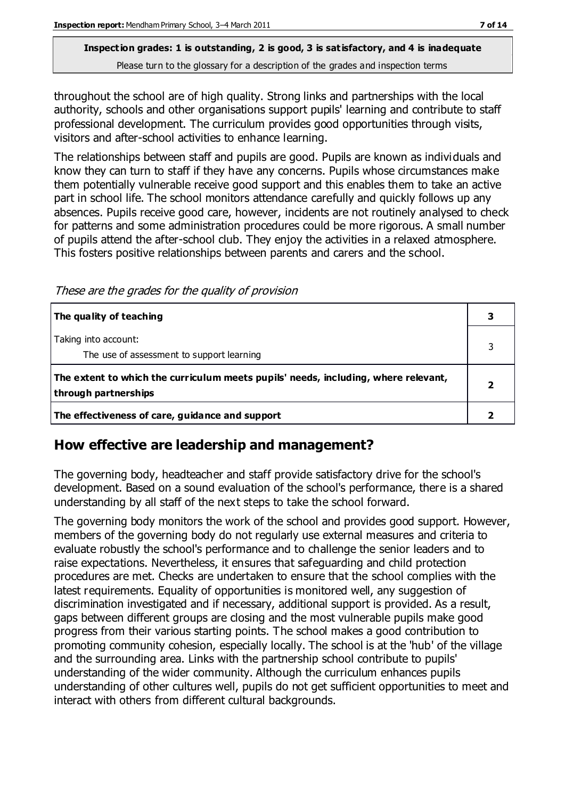#### **Inspection grades: 1 is outstanding, 2 is good, 3 is satisfactory, and 4 is inadequate** Please turn to the glossary for a description of the grades and inspection terms

throughout the school are of high quality. Strong links and partnerships with the local authority, schools and other organisations support pupils' learning and contribute to staff professional development. The curriculum provides good opportunities through visits, visitors and after-school activities to enhance learning.

The relationships between staff and pupils are good. Pupils are known as individuals and know they can turn to staff if they have any concerns. Pupils whose circumstances make them potentially vulnerable receive good support and this enables them to take an active part in school life. The school monitors attendance carefully and quickly follows up any absences. Pupils receive good care, however, incidents are not routinely analysed to check for patterns and some administration procedures could be more rigorous. A small number of pupils attend the after-school club. They enjoy the activities in a relaxed atmosphere. This fosters positive relationships between parents and carers and the school.

These are the grades for the quality of provision

| The quality of teaching                                                                                    |  |
|------------------------------------------------------------------------------------------------------------|--|
| Taking into account:<br>The use of assessment to support learning                                          |  |
| The extent to which the curriculum meets pupils' needs, including, where relevant,<br>through partnerships |  |
| The effectiveness of care, guidance and support                                                            |  |

## **How effective are leadership and management?**

The governing body, headteacher and staff provide satisfactory drive for the school's development. Based on a sound evaluation of the school's performance, there is a shared understanding by all staff of the next steps to take the school forward.

The governing body monitors the work of the school and provides good support. However, members of the governing body do not regularly use external measures and criteria to evaluate robustly the school's performance and to challenge the senior leaders and to raise expectations. Nevertheless, it ensures that safeguarding and child protection procedures are met. Checks are undertaken to ensure that the school complies with the latest requirements. Equality of opportunities is monitored well, any suggestion of discrimination investigated and if necessary, additional support is provided. As a result, gaps between different groups are closing and the most vulnerable pupils make good progress from their various starting points. The school makes a good contribution to promoting community cohesion, especially locally. The school is at the 'hub' of the village and the surrounding area. Links with the partnership school contribute to pupils' understanding of the wider community. Although the curriculum enhances pupils understanding of other cultures well, pupils do not get sufficient opportunities to meet and interact with others from different cultural backgrounds.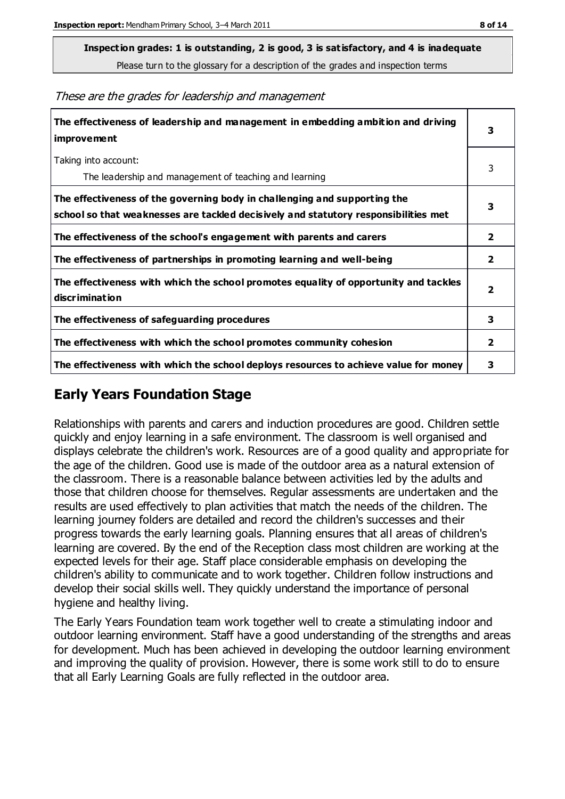**Inspection grades: 1 is outstanding, 2 is good, 3 is satisfactory, and 4 is inadequate**

Please turn to the glossary for a description of the grades and inspection terms

These are the grades for leadership and management

| The effectiveness of leadership and management in embedding ambition and driving<br>improvement                                                                  |                         |
|------------------------------------------------------------------------------------------------------------------------------------------------------------------|-------------------------|
| Taking into account:<br>The leadership and management of teaching and learning                                                                                   | 3                       |
| The effectiveness of the governing body in challenging and supporting the<br>school so that weaknesses are tackled decisively and statutory responsibilities met | 3                       |
| The effectiveness of the school's engagement with parents and carers                                                                                             | 2                       |
| The effectiveness of partnerships in promoting learning and well-being                                                                                           | $\overline{\mathbf{2}}$ |
| The effectiveness with which the school promotes equality of opportunity and tackles<br>discrimination                                                           | $\overline{\mathbf{2}}$ |
| The effectiveness of safeguarding procedures                                                                                                                     | 3                       |
| The effectiveness with which the school promotes community cohesion                                                                                              | $\overline{2}$          |
| The effectiveness with which the school deploys resources to achieve value for money                                                                             | 3                       |

#### **Early Years Foundation Stage**

Relationships with parents and carers and induction procedures are good. Children settle quickly and enjoy learning in a safe environment. The classroom is well organised and displays celebrate the children's work. Resources are of a good quality and appropriate for the age of the children. Good use is made of the outdoor area as a natural extension of the classroom. There is a reasonable balance between activities led by the adults and those that children choose for themselves. Regular assessments are undertaken and the results are used effectively to plan activities that match the needs of the children. The learning journey folders are detailed and record the children's successes and their progress towards the early learning goals. Planning ensures that all areas of children's learning are covered. By the end of the Reception class most children are working at the expected levels for their age. Staff place considerable emphasis on developing the children's ability to communicate and to work together. Children follow instructions and develop their social skills well. They quickly understand the importance of personal hygiene and healthy living.

The Early Years Foundation team work together well to create a stimulating indoor and outdoor learning environment. Staff have a good understanding of the strengths and areas for development. Much has been achieved in developing the outdoor learning environment and improving the quality of provision. However, there is some work still to do to ensure that all Early Learning Goals are fully reflected in the outdoor area.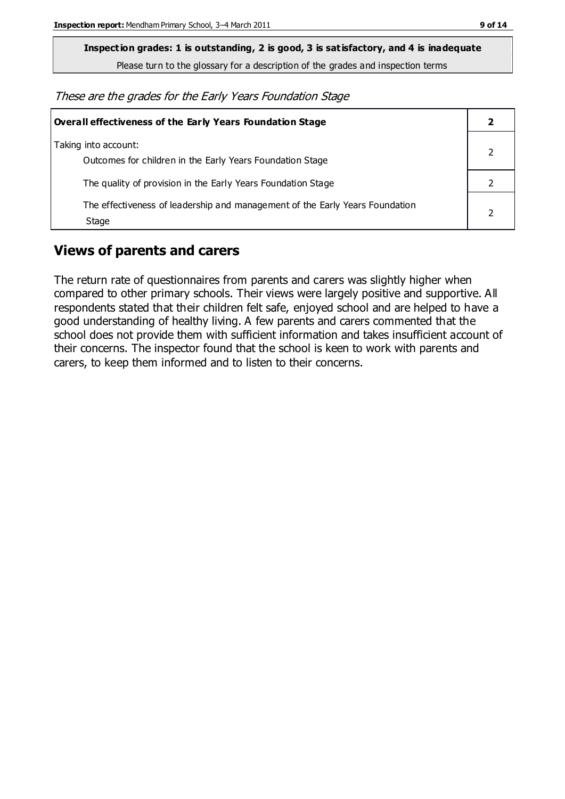**Inspection grades: 1 is outstanding, 2 is good, 3 is satisfactory, and 4 is inadequate**

Please turn to the glossary for a description of the grades and inspection terms

These are the grades for the Early Years Foundation Stage

| <b>Overall effectiveness of the Early Years Foundation Stage</b>                      |  |
|---------------------------------------------------------------------------------------|--|
| Taking into account:<br>Outcomes for children in the Early Years Foundation Stage     |  |
| The quality of provision in the Early Years Foundation Stage                          |  |
| The effectiveness of leadership and management of the Early Years Foundation<br>Stage |  |

## **Views of parents and carers**

The return rate of questionnaires from parents and carers was slightly higher when compared to other primary schools. Their views were largely positive and supportive. All respondents stated that their children felt safe, enjoyed school and are helped to have a good understanding of healthy living. A few parents and carers commented that the school does not provide them with sufficient information and takes insufficient account of their concerns. The inspector found that the school is keen to work with parents and carers, to keep them informed and to listen to their concerns.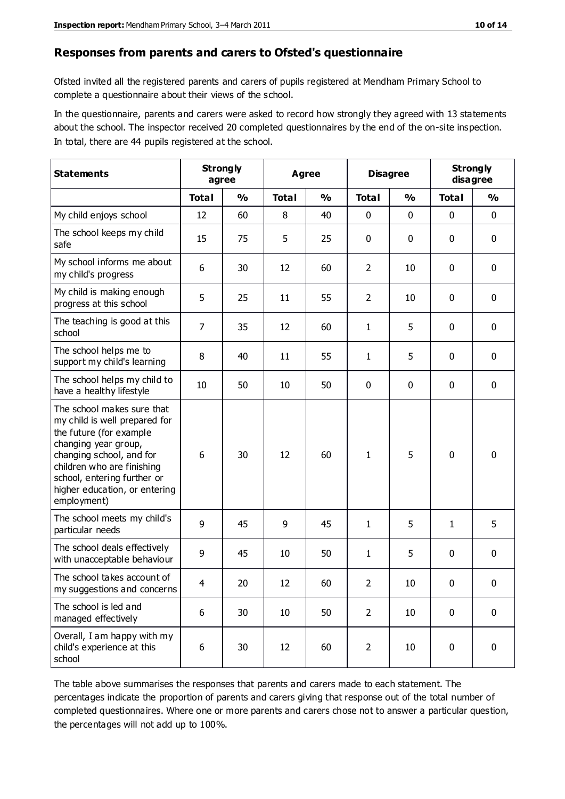#### **Responses from parents and carers to Ofsted's questionnaire**

Ofsted invited all the registered parents and carers of pupils registered at Mendham Primary School to complete a questionnaire about their views of the school.

In the questionnaire, parents and carers were asked to record how strongly they agreed with 13 statements about the school. The inspector received 20 completed questionnaires by the end of the on-site inspection. In total, there are 44 pupils registered at the school.

| <b>Statements</b>                                                                                                                                                                                                                                       | <b>Strongly</b><br>agree |               | Agree        |               | <b>Disagree</b> |               | <b>Strongly</b><br>disagree |               |
|---------------------------------------------------------------------------------------------------------------------------------------------------------------------------------------------------------------------------------------------------------|--------------------------|---------------|--------------|---------------|-----------------|---------------|-----------------------------|---------------|
|                                                                                                                                                                                                                                                         | <b>Total</b>             | $\frac{0}{0}$ | <b>Total</b> | $\frac{0}{0}$ | <b>Total</b>    | $\frac{0}{0}$ | <b>Total</b>                | $\frac{1}{2}$ |
| My child enjoys school                                                                                                                                                                                                                                  | 12                       | 60            | 8            | 40            | 0               | 0             | $\mathbf 0$                 | $\mathbf 0$   |
| The school keeps my child<br>safe                                                                                                                                                                                                                       | 15                       | 75            | 5            | 25            | 0               | 0             | $\mathbf 0$                 | $\mathbf 0$   |
| My school informs me about<br>my child's progress                                                                                                                                                                                                       | 6                        | 30            | 12           | 60            | $\overline{2}$  | 10            | $\mathbf 0$                 | $\mathbf 0$   |
| My child is making enough<br>progress at this school                                                                                                                                                                                                    | 5                        | 25            | 11           | 55            | $\overline{2}$  | 10            | $\mathbf 0$                 | $\mathbf 0$   |
| The teaching is good at this<br>school                                                                                                                                                                                                                  | $\overline{7}$           | 35            | 12           | 60            | 1               | 5             | 0                           | $\mathbf 0$   |
| The school helps me to<br>support my child's learning                                                                                                                                                                                                   | 8                        | 40            | 11           | 55            | 1               | 5             | $\mathbf 0$                 | $\mathbf 0$   |
| The school helps my child to<br>have a healthy lifestyle                                                                                                                                                                                                | 10                       | 50            | 10           | 50            | 0               | $\mathbf 0$   | $\mathbf 0$                 | $\mathbf 0$   |
| The school makes sure that<br>my child is well prepared for<br>the future (for example<br>changing year group,<br>changing school, and for<br>children who are finishing<br>school, entering further or<br>higher education, or entering<br>employment) | 6                        | 30            | 12           | 60            | 1               | 5             | $\mathbf 0$                 | $\mathbf 0$   |
| The school meets my child's<br>particular needs                                                                                                                                                                                                         | 9                        | 45            | 9            | 45            | 1               | 5             | $\mathbf{1}$                | 5             |
| The school deals effectively<br>with unacceptable behaviour                                                                                                                                                                                             | 9                        | 45            | 10           | 50            | $\mathbf{1}$    | 5             | $\mathbf 0$                 | 0             |
| The school takes account of<br>my suggestions and concerns                                                                                                                                                                                              | 4                        | 20            | 12           | 60            | $\overline{2}$  | $10\,$        | 0                           | $\mathbf{0}$  |
| The school is led and<br>managed effectively                                                                                                                                                                                                            | 6                        | 30            | $10\,$       | 50            | $\overline{2}$  | 10            | $\mathbf 0$                 | $\mathbf 0$   |
| Overall, I am happy with my<br>child's experience at this<br>school                                                                                                                                                                                     | 6                        | 30            | 12           | 60            | $\overline{2}$  | 10            | $\mathbf 0$                 | $\mathbf 0$   |

The table above summarises the responses that parents and carers made to each statement. The percentages indicate the proportion of parents and carers giving that response out of the total number of completed questionnaires. Where one or more parents and carers chose not to answer a particular question, the percentages will not add up to 100%.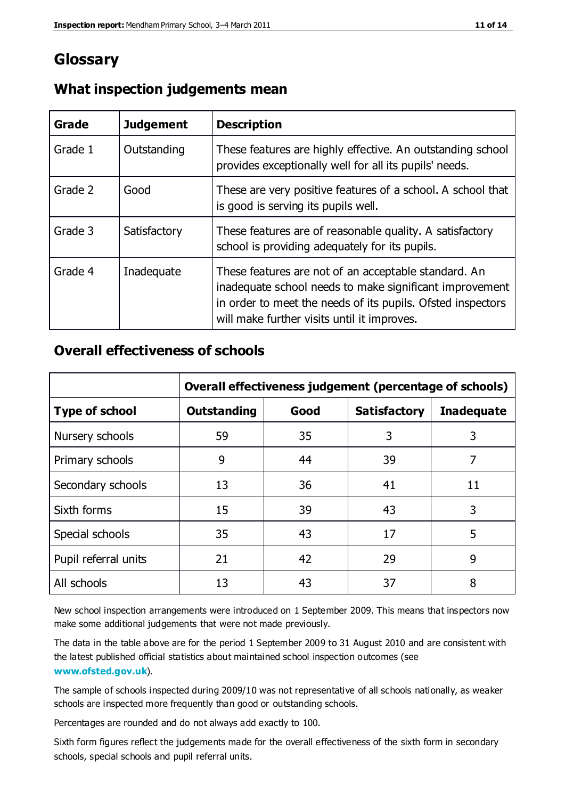## **Glossary**

| Grade   | <b>Judgement</b> | <b>Description</b>                                                                                                                                                                                                            |
|---------|------------------|-------------------------------------------------------------------------------------------------------------------------------------------------------------------------------------------------------------------------------|
| Grade 1 | Outstanding      | These features are highly effective. An outstanding school<br>provides exceptionally well for all its pupils' needs.                                                                                                          |
| Grade 2 | Good             | These are very positive features of a school. A school that<br>is good is serving its pupils well.                                                                                                                            |
| Grade 3 | Satisfactory     | These features are of reasonable quality. A satisfactory<br>school is providing adequately for its pupils.                                                                                                                    |
| Grade 4 | Inadequate       | These features are not of an acceptable standard. An<br>inadequate school needs to make significant improvement<br>in order to meet the needs of its pupils. Ofsted inspectors<br>will make further visits until it improves. |

#### **What inspection judgements mean**

#### **Overall effectiveness of schools**

|                       | Overall effectiveness judgement (percentage of schools) |      |                     |                   |
|-----------------------|---------------------------------------------------------|------|---------------------|-------------------|
| <b>Type of school</b> | <b>Outstanding</b>                                      | Good | <b>Satisfactory</b> | <b>Inadequate</b> |
| Nursery schools       | 59                                                      | 35   | 3                   | 3                 |
| Primary schools       | 9                                                       | 44   | 39                  | 7                 |
| Secondary schools     | 13                                                      | 36   | 41                  | 11                |
| Sixth forms           | 15                                                      | 39   | 43                  | 3                 |
| Special schools       | 35                                                      | 43   | 17                  | 5                 |
| Pupil referral units  | 21                                                      | 42   | 29                  | 9                 |
| All schools           | 13                                                      | 43   | 37                  | 8                 |

New school inspection arrangements were introduced on 1 September 2009. This means that inspectors now make some additional judgements that were not made previously.

The data in the table above are for the period 1 September 2009 to 31 August 2010 and are consistent with the latest published official statistics about maintained school inspection outcomes (see **[www.ofsted.gov.uk](http://www.ofsted.gov.uk/)**).

The sample of schools inspected during 2009/10 was not representative of all schools nationally, as weaker schools are inspected more frequently than good or outstanding schools.

Percentages are rounded and do not always add exactly to 100.

Sixth form figures reflect the judgements made for the overall effectiveness of the sixth form in secondary schools, special schools and pupil referral units.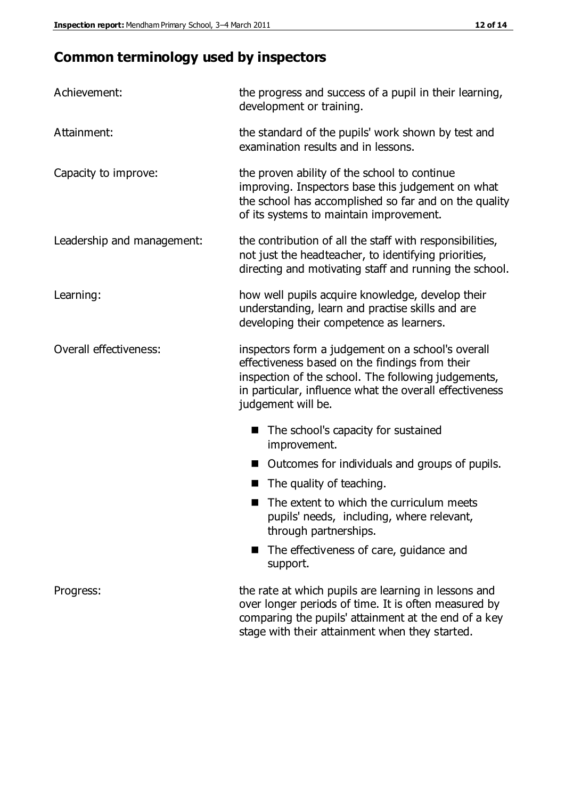# **Common terminology used by inspectors**

| Achievement:                  | the progress and success of a pupil in their learning,<br>development or training.                                                                                                                                                          |  |
|-------------------------------|---------------------------------------------------------------------------------------------------------------------------------------------------------------------------------------------------------------------------------------------|--|
| Attainment:                   | the standard of the pupils' work shown by test and<br>examination results and in lessons.                                                                                                                                                   |  |
| Capacity to improve:          | the proven ability of the school to continue<br>improving. Inspectors base this judgement on what<br>the school has accomplished so far and on the quality<br>of its systems to maintain improvement.                                       |  |
| Leadership and management:    | the contribution of all the staff with responsibilities,<br>not just the headteacher, to identifying priorities,<br>directing and motivating staff and running the school.                                                                  |  |
| Learning:                     | how well pupils acquire knowledge, develop their<br>understanding, learn and practise skills and are<br>developing their competence as learners.                                                                                            |  |
| <b>Overall effectiveness:</b> | inspectors form a judgement on a school's overall<br>effectiveness based on the findings from their<br>inspection of the school. The following judgements,<br>in particular, influence what the overall effectiveness<br>judgement will be. |  |
|                               | The school's capacity for sustained<br>improvement.                                                                                                                                                                                         |  |
|                               | Outcomes for individuals and groups of pupils.                                                                                                                                                                                              |  |
|                               | The quality of teaching.                                                                                                                                                                                                                    |  |
|                               | The extent to which the curriculum meets<br>pupils' needs, including, where relevant,<br>through partnerships.                                                                                                                              |  |
|                               | The effectiveness of care, guidance and<br>support.                                                                                                                                                                                         |  |
| Progress:                     | the rate at which pupils are learning in lessons and<br>over longer periods of time. It is often measured by<br>comparing the pupils' attainment at the end of a key                                                                        |  |

stage with their attainment when they started.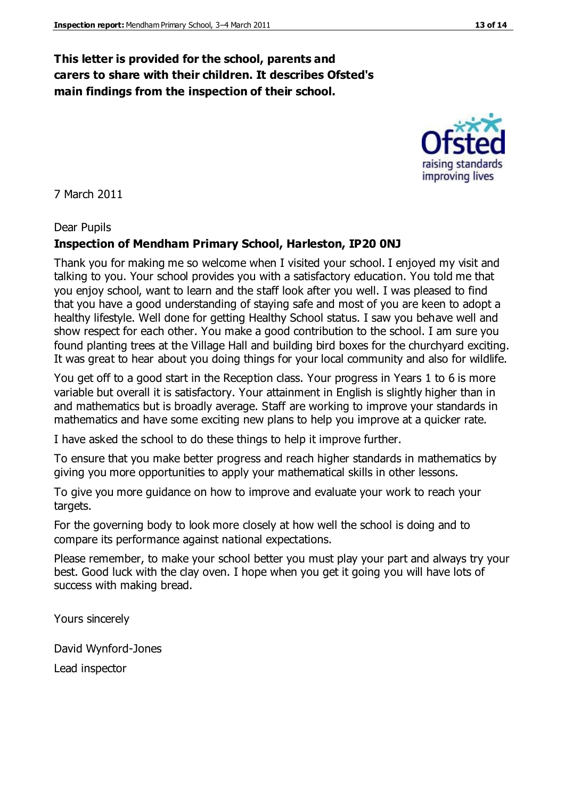#### **This letter is provided for the school, parents and carers to share with their children. It describes Ofsted's main findings from the inspection of their school.**

7 March 2011

#### Dear Pupils

#### **Inspection of Mendham Primary School, Harleston, IP20 0NJ**

Thank you for making me so welcome when I visited your school. I enjoyed my visit and talking to you. Your school provides you with a satisfactory education. You told me that you enjoy school, want to learn and the staff look after you well. I was pleased to find that you have a good understanding of staying safe and most of you are keen to adopt a healthy lifestyle. Well done for getting Healthy School status. I saw you behave well and show respect for each other. You make a good contribution to the school. I am sure you found planting trees at the Village Hall and building bird boxes for the churchyard exciting. It was great to hear about you doing things for your local community and also for wildlife.

You get off to a good start in the Reception class. Your progress in Years 1 to 6 is more variable but overall it is satisfactory. Your attainment in English is slightly higher than in and mathematics but is broadly average. Staff are working to improve your standards in mathematics and have some exciting new plans to help you improve at a quicker rate.

I have asked the school to do these things to help it improve further.

To ensure that you make better progress and reach higher standards in mathematics by giving you more opportunities to apply your mathematical skills in other lessons.

To give you more guidance on how to improve and evaluate your work to reach your targets.

For the governing body to look more closely at how well the school is doing and to compare its performance against national expectations.

Please remember, to make your school better you must play your part and always try your best. Good luck with the clay oven. I hope when you get it going you will have lots of success with making bread.

Yours sincerely

David Wynford-Jones Lead inspector